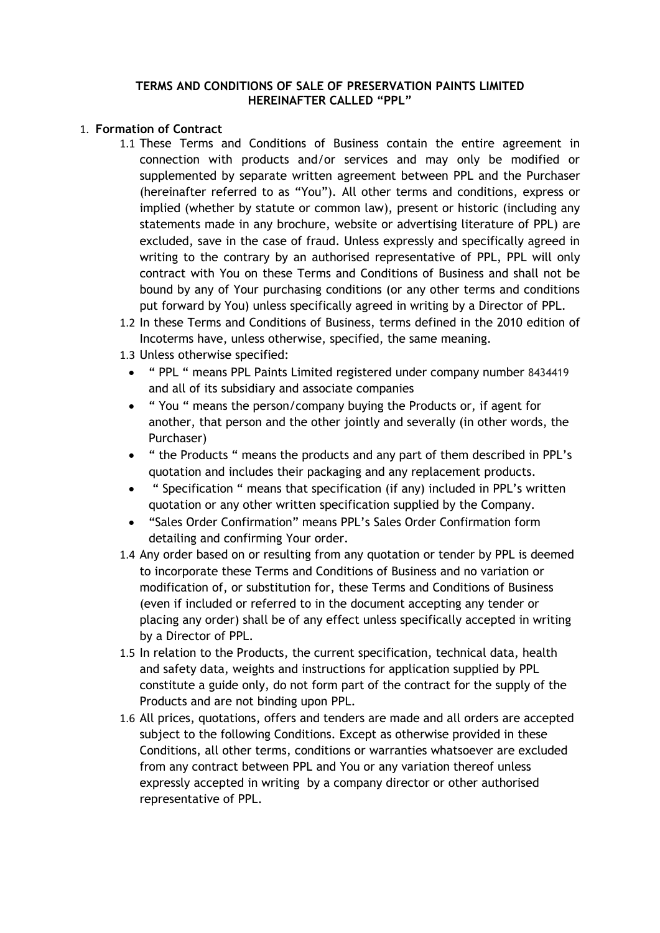#### **TERMS AND CONDITIONS OF SALE OF PRESERVATION PAINTS LIMITED HEREINAFTER CALLED "PPL"**

#### 1. **Formation of Contract**

- 1.1 These Terms and Conditions of Business contain the entire agreement in connection with products and/or services and may only be modified or supplemented by separate written agreement between PPL and the Purchaser (hereinafter referred to as "You"). All other terms and conditions, express or implied (whether by statute or common law), present or historic (including any statements made in any brochure, website or advertising literature of PPL) are excluded, save in the case of fraud. Unless expressly and specifically agreed in writing to the contrary by an authorised representative of PPL, PPL will only contract with You on these Terms and Conditions of Business and shall not be bound by any of Your purchasing conditions (or any other terms and conditions put forward by You) unless specifically agreed in writing by a Director of PPL.
- 1.2 In these Terms and Conditions of Business, terms defined in the 2010 edition of Incoterms have, unless otherwise, specified, the same meaning.
- 1.3 Unless otherwise specified:
	- " PPL " means PPL Paints Limited registered under company number 8434419 and all of its subsidiary and associate companies
	- " You " means the person/company buying the Products or, if agent for another, that person and the other jointly and severally (in other words, the Purchaser)
	- " the Products " means the products and any part of them described in PPL's quotation and includes their packaging and any replacement products.
	- " Specification " means that specification (if any) included in PPL's written quotation or any other written specification supplied by the Company.
	- "Sales Order Confirmation" means PPL's Sales Order Confirmation form detailing and confirming Your order.
- 1.4 Any order based on or resulting from any quotation or tender by PPL is deemed to incorporate these Terms and Conditions of Business and no variation or modification of, or substitution for, these Terms and Conditions of Business (even if included or referred to in the document accepting any tender or placing any order) shall be of any effect unless specifically accepted in writing by a Director of PPL.
- 1.5 In relation to the Products, the current specification, technical data, health and safety data, weights and instructions for application supplied by PPL constitute a guide only, do not form part of the contract for the supply of the Products and are not binding upon PPL.
- 1.6 All prices, quotations, offers and tenders are made and all orders are accepted subject to the following Conditions. Except as otherwise provided in these Conditions, all other terms, conditions or warranties whatsoever are excluded from any contract between PPL and You or any variation thereof unless expressly accepted in writing by a company director or other authorised representative of PPL.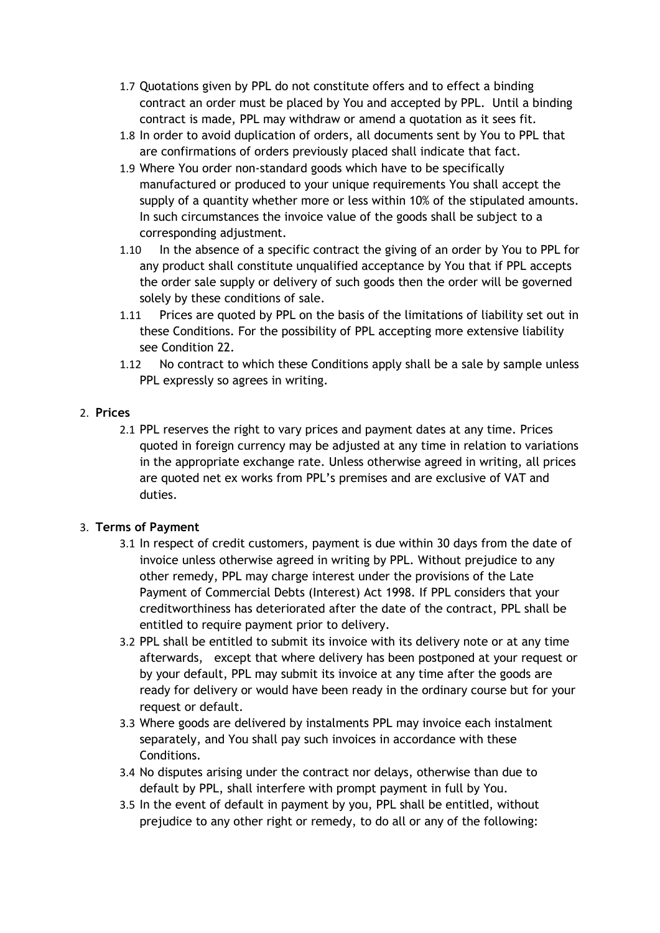- 1.7 Quotations given by PPL do not constitute offers and to effect a binding contract an order must be placed by You and accepted by PPL. Until a binding contract is made, PPL may withdraw or amend a quotation as it sees fit.
- 1.8 In order to avoid duplication of orders, all documents sent by You to PPL that are confirmations of orders previously placed shall indicate that fact.
- 1.9 Where You order non-standard goods which have to be specifically manufactured or produced to your unique requirements You shall accept the supply of a quantity whether more or less within 10% of the stipulated amounts. In such circumstances the invoice value of the goods shall be subject to a corresponding adjustment.
- 1.10 In the absence of a specific contract the giving of an order by You to PPL for any product shall constitute unqualified acceptance by You that if PPL accepts the order sale supply or delivery of such goods then the order will be governed solely by these conditions of sale.
- 1.11 Prices are quoted by PPL on the basis of the limitations of liability set out in these Conditions. For the possibility of PPL accepting more extensive liability see Condition 22.
- 1.12 No contract to which these Conditions apply shall be a sale by sample unless PPL expressly so agrees in writing.

#### 2. **Prices**

2.1 PPL reserves the right to vary prices and payment dates at any time. Prices quoted in foreign currency may be adjusted at any time in relation to variations in the appropriate exchange rate. Unless otherwise agreed in writing, all prices are quoted net ex works from PPL's premises and are exclusive of VAT and duties.

### 3. **Terms of Payment**

- 3.1 In respect of credit customers, payment is due within 30 days from the date of invoice unless otherwise agreed in writing by PPL. Without prejudice to any other remedy, PPL may charge interest under the provisions of the Late Payment of Commercial Debts (Interest) Act 1998. If PPL considers that your creditworthiness has deteriorated after the date of the contract, PPL shall be entitled to require payment prior to delivery.
- 3.2 PPL shall be entitled to submit its invoice with its delivery note or at any time afterwards, except that where delivery has been postponed at your request or by your default, PPL may submit its invoice at any time after the goods are ready for delivery or would have been ready in the ordinary course but for your request or default.
- 3.3 Where goods are delivered by instalments PPL may invoice each instalment separately, and You shall pay such invoices in accordance with these Conditions.
- 3.4 No disputes arising under the contract nor delays, otherwise than due to default by PPL, shall interfere with prompt payment in full by You.
- 3.5 In the event of default in payment by you, PPL shall be entitled, without prejudice to any other right or remedy, to do all or any of the following: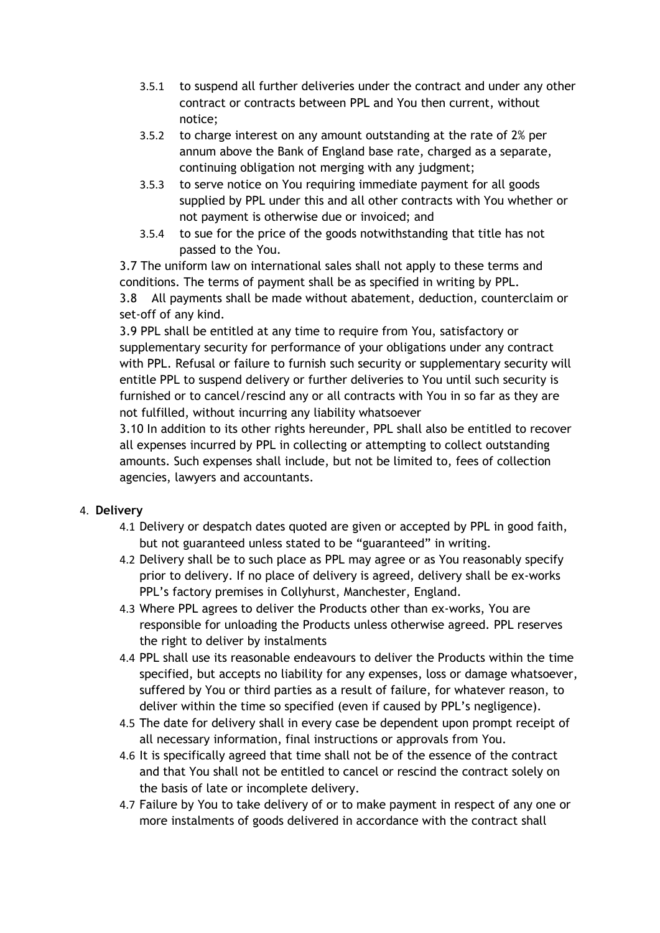- 3.5.1 to suspend all further deliveries under the contract and under any other contract or contracts between PPL and You then current, without notice;
- 3.5.2 to charge interest on any amount outstanding at the rate of 2% per annum above the Bank of England base rate, charged as a separate, continuing obligation not merging with any judgment;
- 3.5.3 to serve notice on You requiring immediate payment for all goods supplied by PPL under this and all other contracts with You whether or not payment is otherwise due or invoiced; and
- 3.5.4 to sue for the price of the goods notwithstanding that title has not passed to the You.

3.7 The uniform law on international sales shall not apply to these terms and conditions. The terms of payment shall be as specified in writing by PPL.

3.8 All payments shall be made without abatement, deduction, counterclaim or set-off of any kind.

3.9 PPL shall be entitled at any time to require from You, satisfactory or supplementary security for performance of your obligations under any contract with PPL. Refusal or failure to furnish such security or supplementary security will entitle PPL to suspend delivery or further deliveries to You until such security is furnished or to cancel/rescind any or all contracts with You in so far as they are not fulfilled, without incurring any liability whatsoever

3.10 In addition to its other rights hereunder, PPL shall also be entitled to recover all expenses incurred by PPL in collecting or attempting to collect outstanding amounts. Such expenses shall include, but not be limited to, fees of collection agencies, lawyers and accountants.

### 4. **Delivery**

- 4.1 Delivery or despatch dates quoted are given or accepted by PPL in good faith, but not guaranteed unless stated to be "guaranteed" in writing.
- 4.2 Delivery shall be to such place as PPL may agree or as You reasonably specify prior to delivery. If no place of delivery is agreed, delivery shall be ex-works PPL's factory premises in Collyhurst, Manchester, England.
- 4.3 Where PPL agrees to deliver the Products other than ex-works, You are responsible for unloading the Products unless otherwise agreed. PPL reserves the right to deliver by instalments
- 4.4 PPL shall use its reasonable endeavours to deliver the Products within the time specified, but accepts no liability for any expenses, loss or damage whatsoever, suffered by You or third parties as a result of failure, for whatever reason, to deliver within the time so specified (even if caused by PPL's negligence).
- 4.5 The date for delivery shall in every case be dependent upon prompt receipt of all necessary information, final instructions or approvals from You.
- 4.6 It is specifically agreed that time shall not be of the essence of the contract and that You shall not be entitled to cancel or rescind the contract solely on the basis of late or incomplete delivery.
- 4.7 Failure by You to take delivery of or to make payment in respect of any one or more instalments of goods delivered in accordance with the contract shall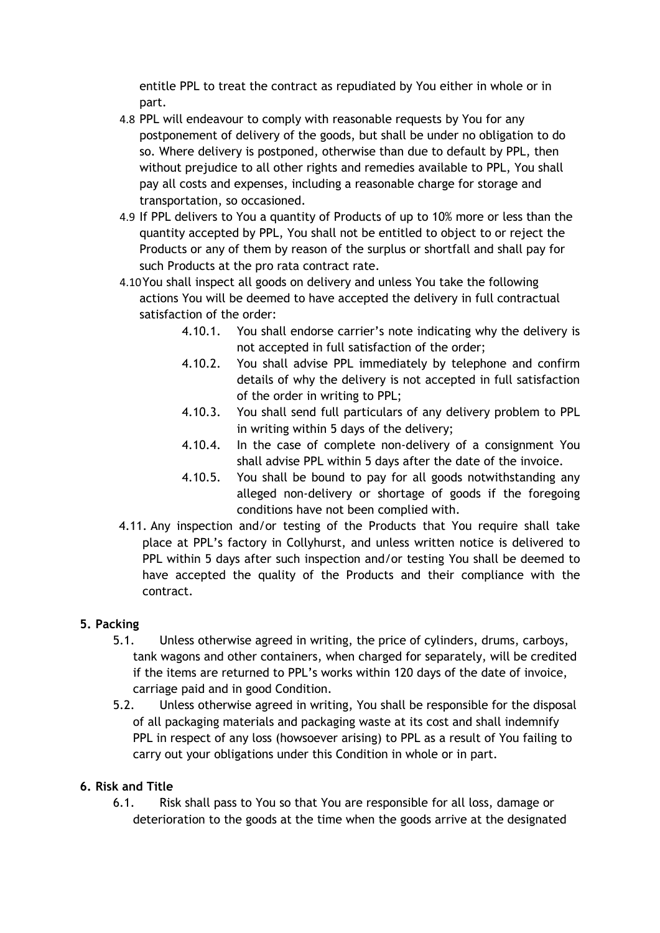entitle PPL to treat the contract as repudiated by You either in whole or in part.

- 4.8 PPL will endeavour to comply with reasonable requests by You for any postponement of delivery of the goods, but shall be under no obligation to do so. Where delivery is postponed, otherwise than due to default by PPL, then without prejudice to all other rights and remedies available to PPL, You shall pay all costs and expenses, including a reasonable charge for storage and transportation, so occasioned.
- 4.9 If PPL delivers to You a quantity of Products of up to 10% more or less than the quantity accepted by PPL, You shall not be entitled to object to or reject the Products or any of them by reason of the surplus or shortfall and shall pay for such Products at the pro rata contract rate.
- 4.10You shall inspect all goods on delivery and unless You take the following actions You will be deemed to have accepted the delivery in full contractual satisfaction of the order:
	- 4.10.1. You shall endorse carrier's note indicating why the delivery is not accepted in full satisfaction of the order;
	- 4.10.2. You shall advise PPL immediately by telephone and confirm details of why the delivery is not accepted in full satisfaction of the order in writing to PPL;
	- 4.10.3. You shall send full particulars of any delivery problem to PPL in writing within 5 days of the delivery;
	- 4.10.4. In the case of complete non-delivery of a consignment You shall advise PPL within 5 days after the date of the invoice.
	- 4.10.5. You shall be bound to pay for all goods notwithstanding any alleged non-delivery or shortage of goods if the foregoing conditions have not been complied with.
- 4.11. Any inspection and/or testing of the Products that You require shall take place at PPL's factory in Collyhurst, and unless written notice is delivered to PPL within 5 days after such inspection and/or testing You shall be deemed to have accepted the quality of the Products and their compliance with the contract.

# **5. Packing**

- 5.1. Unless otherwise agreed in writing, the price of cylinders, drums, carboys, tank wagons and other containers, when charged for separately, will be credited if the items are returned to PPL's works within 120 days of the date of invoice, carriage paid and in good Condition.
- 5.2. Unless otherwise agreed in writing, You shall be responsible for the disposal of all packaging materials and packaging waste at its cost and shall indemnify PPL in respect of any loss (howsoever arising) to PPL as a result of You failing to carry out your obligations under this Condition in whole or in part.

# **6. Risk and Title**

6.1. Risk shall pass to You so that You are responsible for all loss, damage or deterioration to the goods at the time when the goods arrive at the designated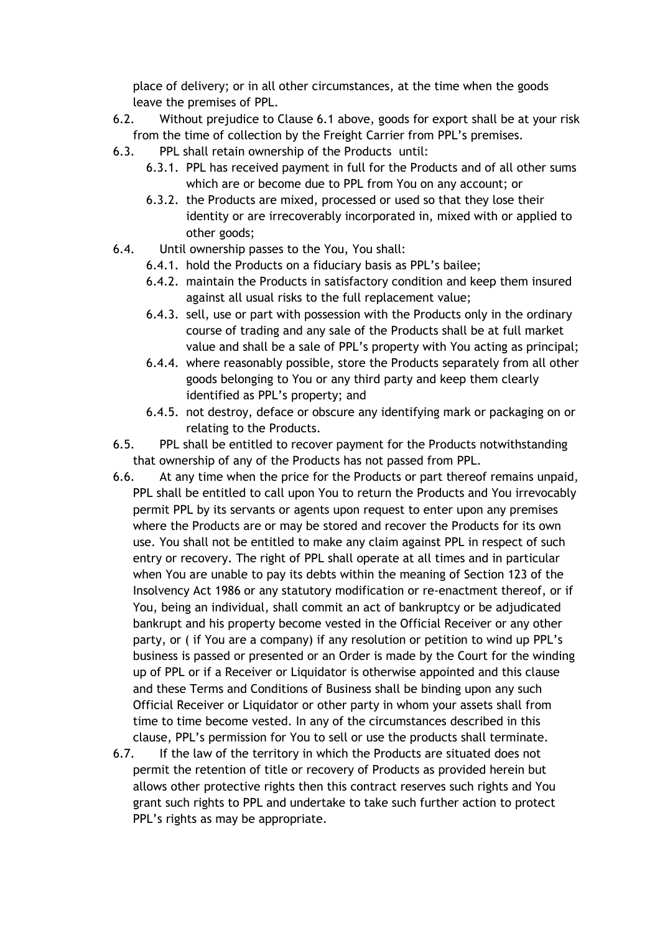place of delivery; or in all other circumstances, at the time when the goods leave the premises of PPL.

- 6.2. Without prejudice to Clause 6.1 above, goods for export shall be at your risk from the time of collection by the Freight Carrier from PPL's premises.
- 6.3. PPL shall retain ownership of the Products until:
	- 6.3.1. PPL has received payment in full for the Products and of all other sums which are or become due to PPL from You on any account; or
	- 6.3.2. the Products are mixed, processed or used so that they lose their identity or are irrecoverably incorporated in, mixed with or applied to other goods;
- 6.4. Until ownership passes to the You, You shall:
	- 6.4.1. hold the Products on a fiduciary basis as PPL's bailee;
	- 6.4.2. maintain the Products in satisfactory condition and keep them insured against all usual risks to the full replacement value;
	- 6.4.3. sell, use or part with possession with the Products only in the ordinary course of trading and any sale of the Products shall be at full market value and shall be a sale of PPL's property with You acting as principal;
	- 6.4.4. where reasonably possible, store the Products separately from all other goods belonging to You or any third party and keep them clearly identified as PPL's property; and
	- 6.4.5. not destroy, deface or obscure any identifying mark or packaging on or relating to the Products.
- 6.5. PPL shall be entitled to recover payment for the Products notwithstanding that ownership of any of the Products has not passed from PPL.
- 6.6. At any time when the price for the Products or part thereof remains unpaid, PPL shall be entitled to call upon You to return the Products and You irrevocably permit PPL by its servants or agents upon request to enter upon any premises where the Products are or may be stored and recover the Products for its own use. You shall not be entitled to make any claim against PPL in respect of such entry or recovery. The right of PPL shall operate at all times and in particular when You are unable to pay its debts within the meaning of Section 123 of the Insolvency Act 1986 or any statutory modification or re-enactment thereof, or if You, being an individual, shall commit an act of bankruptcy or be adjudicated bankrupt and his property become vested in the Official Receiver or any other party, or ( if You are a company) if any resolution or petition to wind up PPL's business is passed or presented or an Order is made by the Court for the winding up of PPL or if a Receiver or Liquidator is otherwise appointed and this clause and these Terms and Conditions of Business shall be binding upon any such Official Receiver or Liquidator or other party in whom your assets shall from time to time become vested. In any of the circumstances described in this clause, PPL's permission for You to sell or use the products shall terminate.
- 6.7. If the law of the territory in which the Products are situated does not permit the retention of title or recovery of Products as provided herein but allows other protective rights then this contract reserves such rights and You grant such rights to PPL and undertake to take such further action to protect PPL's rights as may be appropriate.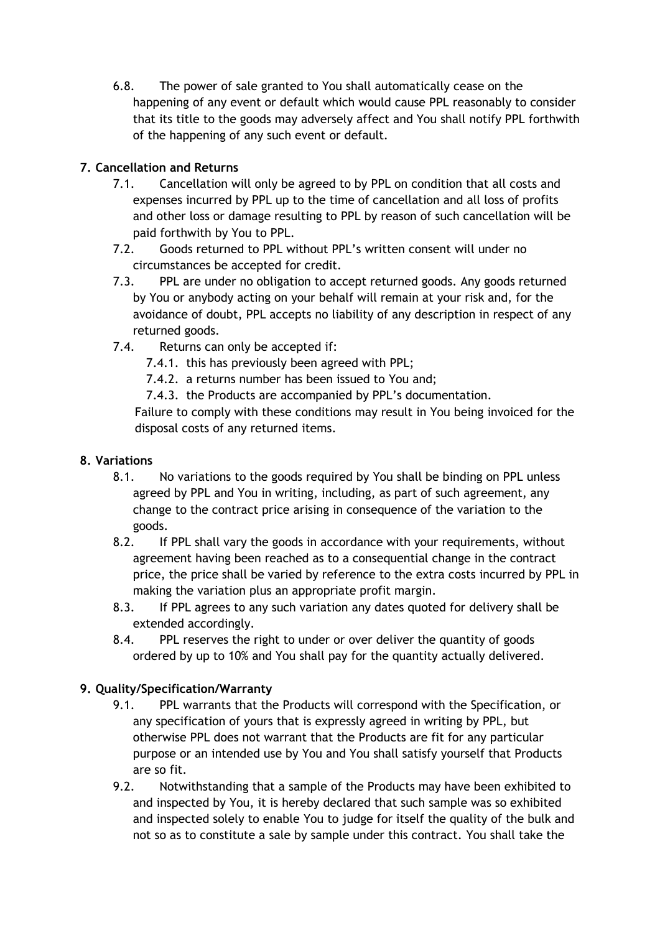6.8. The power of sale granted to You shall automatically cease on the happening of any event or default which would cause PPL reasonably to consider that its title to the goods may adversely affect and You shall notify PPL forthwith of the happening of any such event or default.

# **7. Cancellation and Returns**

- 7.1. Cancellation will only be agreed to by PPL on condition that all costs and expenses incurred by PPL up to the time of cancellation and all loss of profits and other loss or damage resulting to PPL by reason of such cancellation will be paid forthwith by You to PPL.
- 7.2. Goods returned to PPL without PPL's written consent will under no circumstances be accepted for credit.
- 7.3. PPL are under no obligation to accept returned goods. Any goods returned by You or anybody acting on your behalf will remain at your risk and, for the avoidance of doubt, PPL accepts no liability of any description in respect of any returned goods.
- 7.4. Returns can only be accepted if:
	- 7.4.1. this has previously been agreed with PPL;
	- 7.4.2. a returns number has been issued to You and;
	- 7.4.3. the Products are accompanied by PPL's documentation.

Failure to comply with these conditions may result in You being invoiced for the disposal costs of any returned items.

## **8. Variations**

- 8.1. No variations to the goods required by You shall be binding on PPL unless agreed by PPL and You in writing, including, as part of such agreement, any change to the contract price arising in consequence of the variation to the goods.
- 8.2. If PPL shall vary the goods in accordance with your requirements, without agreement having been reached as to a consequential change in the contract price, the price shall be varied by reference to the extra costs incurred by PPL in making the variation plus an appropriate profit margin.
- 8.3. If PPL agrees to any such variation any dates quoted for delivery shall be extended accordingly.
- 8.4. PPL reserves the right to under or over deliver the quantity of goods ordered by up to 10% and You shall pay for the quantity actually delivered.

# **9. Quality/Specification/Warranty**

- 9.1. PPL warrants that the Products will correspond with the Specification, or any specification of yours that is expressly agreed in writing by PPL, but otherwise PPL does not warrant that the Products are fit for any particular purpose or an intended use by You and You shall satisfy yourself that Products are so fit.
- 9.2. Notwithstanding that a sample of the Products may have been exhibited to and inspected by You, it is hereby declared that such sample was so exhibited and inspected solely to enable You to judge for itself the quality of the bulk and not so as to constitute a sale by sample under this contract. You shall take the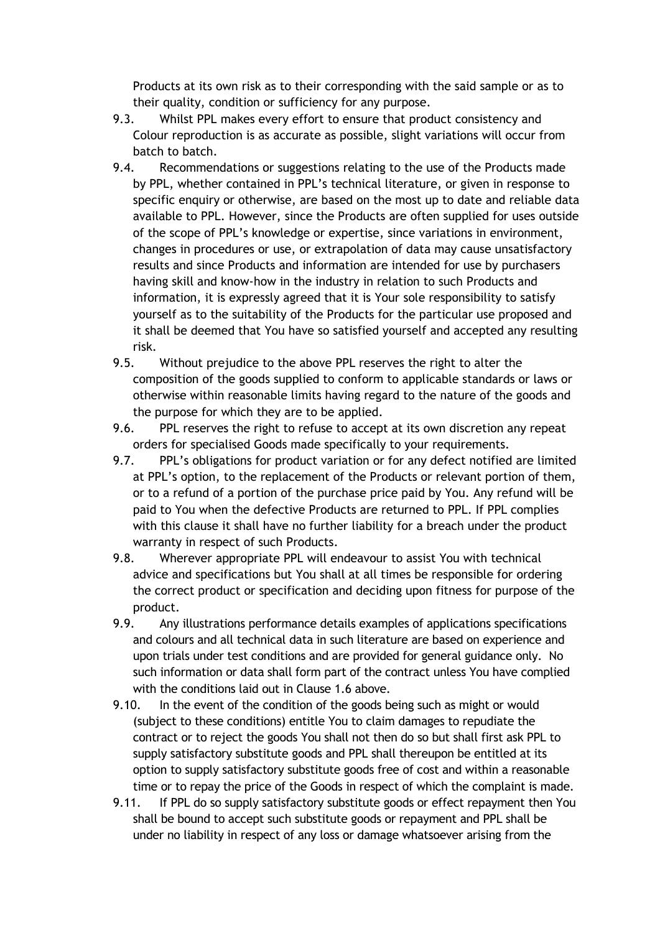Products at its own risk as to their corresponding with the said sample or as to their quality, condition or sufficiency for any purpose.

- 9.3. Whilst PPL makes every effort to ensure that product consistency and Colour reproduction is as accurate as possible, slight variations will occur from batch to batch.
- 9.4. Recommendations or suggestions relating to the use of the Products made by PPL, whether contained in PPL's technical literature, or given in response to specific enquiry or otherwise, are based on the most up to date and reliable data available to PPL. However, since the Products are often supplied for uses outside of the scope of PPL's knowledge or expertise, since variations in environment, changes in procedures or use, or extrapolation of data may cause unsatisfactory results and since Products and information are intended for use by purchasers having skill and know-how in the industry in relation to such Products and information, it is expressly agreed that it is Your sole responsibility to satisfy yourself as to the suitability of the Products for the particular use proposed and it shall be deemed that You have so satisfied yourself and accepted any resulting risk.
- 9.5. Without prejudice to the above PPL reserves the right to alter the composition of the goods supplied to conform to applicable standards or laws or otherwise within reasonable limits having regard to the nature of the goods and the purpose for which they are to be applied.
- 9.6. PPL reserves the right to refuse to accept at its own discretion any repeat orders for specialised Goods made specifically to your requirements.
- 9.7. PPL's obligations for product variation or for any defect notified are limited at PPL's option, to the replacement of the Products or relevant portion of them, or to a refund of a portion of the purchase price paid by You. Any refund will be paid to You when the defective Products are returned to PPL. If PPL complies with this clause it shall have no further liability for a breach under the product warranty in respect of such Products.
- 9.8. Wherever appropriate PPL will endeavour to assist You with technical advice and specifications but You shall at all times be responsible for ordering the correct product or specification and deciding upon fitness for purpose of the product.
- 9.9. Any illustrations performance details examples of applications specifications and colours and all technical data in such literature are based on experience and upon trials under test conditions and are provided for general guidance only. No such information or data shall form part of the contract unless You have complied with the conditions laid out in Clause 1.6 above.
- 9.10. In the event of the condition of the goods being such as might or would (subject to these conditions) entitle You to claim damages to repudiate the contract or to reject the goods You shall not then do so but shall first ask PPL to supply satisfactory substitute goods and PPL shall thereupon be entitled at its option to supply satisfactory substitute goods free of cost and within a reasonable time or to repay the price of the Goods in respect of which the complaint is made.
- 9.11. If PPL do so supply satisfactory substitute goods or effect repayment then You shall be bound to accept such substitute goods or repayment and PPL shall be under no liability in respect of any loss or damage whatsoever arising from the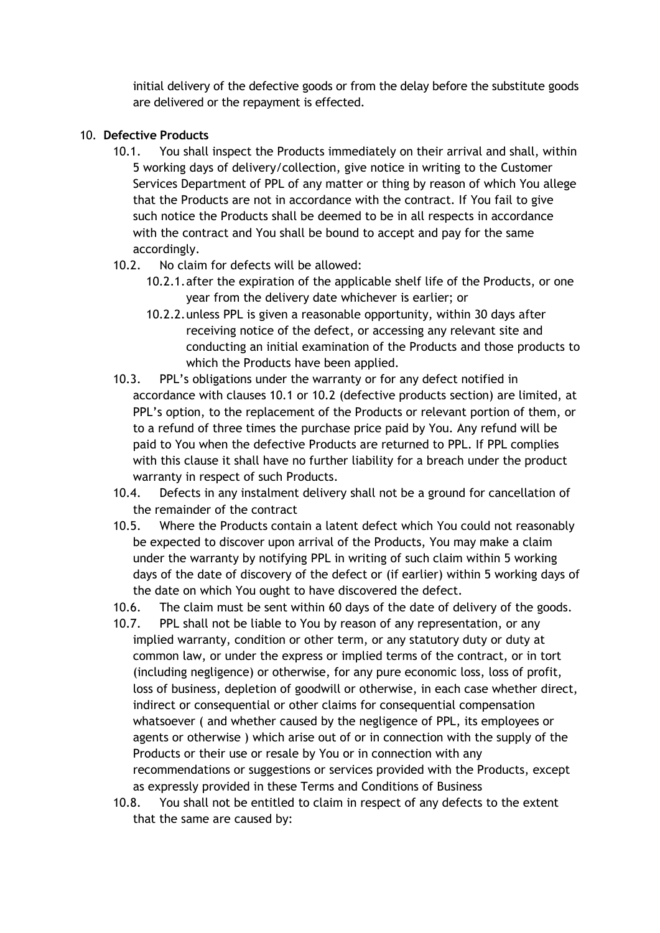initial delivery of the defective goods or from the delay before the substitute goods are delivered or the repayment is effected.

### 10. **Defective Products**

- 10.1. You shall inspect the Products immediately on their arrival and shall, within 5 working days of delivery/collection, give notice in writing to the Customer Services Department of PPL of any matter or thing by reason of which You allege that the Products are not in accordance with the contract. If You fail to give such notice the Products shall be deemed to be in all respects in accordance with the contract and You shall be bound to accept and pay for the same accordingly.
- 10.2. No claim for defects will be allowed:
	- 10.2.1.after the expiration of the applicable shelf life of the Products, or one year from the delivery date whichever is earlier; or
	- 10.2.2.unless PPL is given a reasonable opportunity, within 30 days after receiving notice of the defect, or accessing any relevant site and conducting an initial examination of the Products and those products to which the Products have been applied.
- 10.3. PPL's obligations under the warranty or for any defect notified in accordance with clauses 10.1 or 10.2 (defective products section) are limited, at PPL's option, to the replacement of the Products or relevant portion of them, or to a refund of three times the purchase price paid by You. Any refund will be paid to You when the defective Products are returned to PPL. If PPL complies with this clause it shall have no further liability for a breach under the product warranty in respect of such Products.
- 10.4. Defects in any instalment delivery shall not be a ground for cancellation of the remainder of the contract
- 10.5. Where the Products contain a latent defect which You could not reasonably be expected to discover upon arrival of the Products, You may make a claim under the warranty by notifying PPL in writing of such claim within 5 working days of the date of discovery of the defect or (if earlier) within 5 working days of the date on which You ought to have discovered the defect.
- 10.6. The claim must be sent within 60 days of the date of delivery of the goods.
- 10.7. PPL shall not be liable to You by reason of any representation, or any implied warranty, condition or other term, or any statutory duty or duty at common law, or under the express or implied terms of the contract, or in tort (including negligence) or otherwise, for any pure economic loss, loss of profit, loss of business, depletion of goodwill or otherwise, in each case whether direct, indirect or consequential or other claims for consequential compensation whatsoever ( and whether caused by the negligence of PPL, its employees or agents or otherwise ) which arise out of or in connection with the supply of the Products or their use or resale by You or in connection with any recommendations or suggestions or services provided with the Products, except as expressly provided in these Terms and Conditions of Business
- 10.8. You shall not be entitled to claim in respect of any defects to the extent that the same are caused by: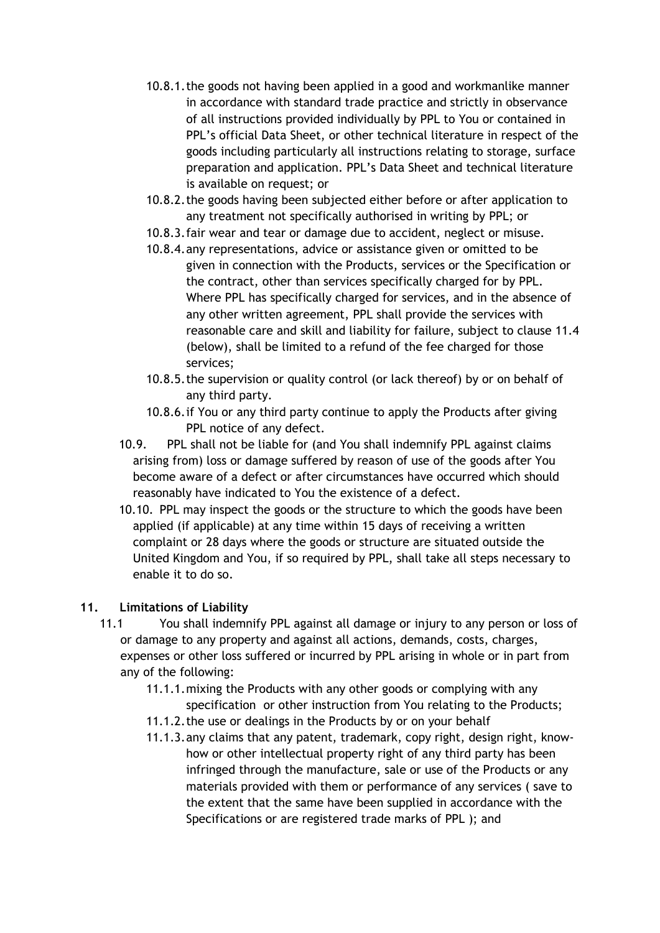- 10.8.1.the goods not having been applied in a good and workmanlike manner in accordance with standard trade practice and strictly in observance of all instructions provided individually by PPL to You or contained in PPL's official Data Sheet, or other technical literature in respect of the goods including particularly all instructions relating to storage, surface preparation and application. PPL's Data Sheet and technical literature is available on request; or
- 10.8.2.the goods having been subjected either before or after application to any treatment not specifically authorised in writing by PPL; or
- 10.8.3.fair wear and tear or damage due to accident, neglect or misuse.
- 10.8.4.any representations, advice or assistance given or omitted to be given in connection with the Products, services or the Specification or the contract, other than services specifically charged for by PPL. Where PPL has specifically charged for services, and in the absence of any other written agreement, PPL shall provide the services with reasonable care and skill and liability for failure, subject to clause 11.4 (below), shall be limited to a refund of the fee charged for those services;
- 10.8.5.the supervision or quality control (or lack thereof) by or on behalf of any third party.
- 10.8.6.if You or any third party continue to apply the Products after giving PPL notice of any defect.
- 10.9. PPL shall not be liable for (and You shall indemnify PPL against claims arising from) loss or damage suffered by reason of use of the goods after You become aware of a defect or after circumstances have occurred which should reasonably have indicated to You the existence of a defect.
- 10.10. PPL may inspect the goods or the structure to which the goods have been applied (if applicable) at any time within 15 days of receiving a written complaint or 28 days where the goods or structure are situated outside the United Kingdom and You, if so required by PPL, shall take all steps necessary to enable it to do so.

# **11. Limitations of Liability**

- 11.1 You shall indemnify PPL against all damage or injury to any person or loss of or damage to any property and against all actions, demands, costs, charges, expenses or other loss suffered or incurred by PPL arising in whole or in part from any of the following:
	- 11.1.1.mixing the Products with any other goods or complying with any specification or other instruction from You relating to the Products;
	- 11.1.2.the use or dealings in the Products by or on your behalf
	- 11.1.3.any claims that any patent, trademark, copy right, design right, knowhow or other intellectual property right of any third party has been infringed through the manufacture, sale or use of the Products or any materials provided with them or performance of any services ( save to the extent that the same have been supplied in accordance with the Specifications or are registered trade marks of PPL ); and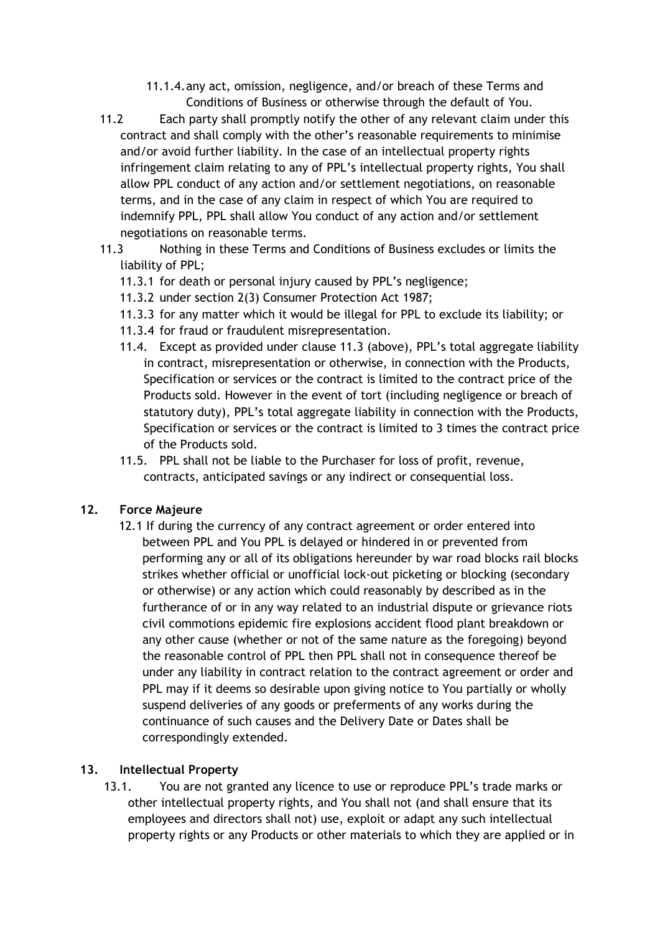- 11.1.4.any act, omission, negligence, and/or breach of these Terms and Conditions of Business or otherwise through the default of You.
- 11.2 Each party shall promptly notify the other of any relevant claim under this contract and shall comply with the other's reasonable requirements to minimise and/or avoid further liability. In the case of an intellectual property rights infringement claim relating to any of PPL's intellectual property rights, You shall allow PPL conduct of any action and/or settlement negotiations, on reasonable terms, and in the case of any claim in respect of which You are required to indemnify PPL, PPL shall allow You conduct of any action and/or settlement negotiations on reasonable terms.
- 11.3 Nothing in these Terms and Conditions of Business excludes or limits the liability of PPL;
	- 11.3.1 for death or personal injury caused by PPL's negligence;
	- 11.3.2 under section 2(3) Consumer Protection Act 1987;
	- 11.3.3 for any matter which it would be illegal for PPL to exclude its liability; or
	- 11.3.4 for fraud or fraudulent misrepresentation.
	- 11.4. Except as provided under clause 11.3 (above), PPL's total aggregate liability in contract, misrepresentation or otherwise, in connection with the Products, Specification or services or the contract is limited to the contract price of the Products sold. However in the event of tort (including negligence or breach of statutory duty), PPL's total aggregate liability in connection with the Products, Specification or services or the contract is limited to 3 times the contract price of the Products sold.
	- 11.5. PPL shall not be liable to the Purchaser for loss of profit, revenue, contracts, anticipated savings or any indirect or consequential loss.

# **12. Force Majeure**

12.1 If during the currency of any contract agreement or order entered into between PPL and You PPL is delayed or hindered in or prevented from performing any or all of its obligations hereunder by war road blocks rail blocks strikes whether official or unofficial lock-out picketing or blocking (secondary or otherwise) or any action which could reasonably by described as in the furtherance of or in any way related to an industrial dispute or grievance riots civil commotions epidemic fire explosions accident flood plant breakdown or any other cause (whether or not of the same nature as the foregoing) beyond the reasonable control of PPL then PPL shall not in consequence thereof be under any liability in contract relation to the contract agreement or order and PPL may if it deems so desirable upon giving notice to You partially or wholly suspend deliveries of any goods or preferments of any works during the continuance of such causes and the Delivery Date or Dates shall be correspondingly extended.

### **13. Intellectual Property**

13.1. You are not granted any licence to use or reproduce PPL's trade marks or other intellectual property rights, and You shall not (and shall ensure that its employees and directors shall not) use, exploit or adapt any such intellectual property rights or any Products or other materials to which they are applied or in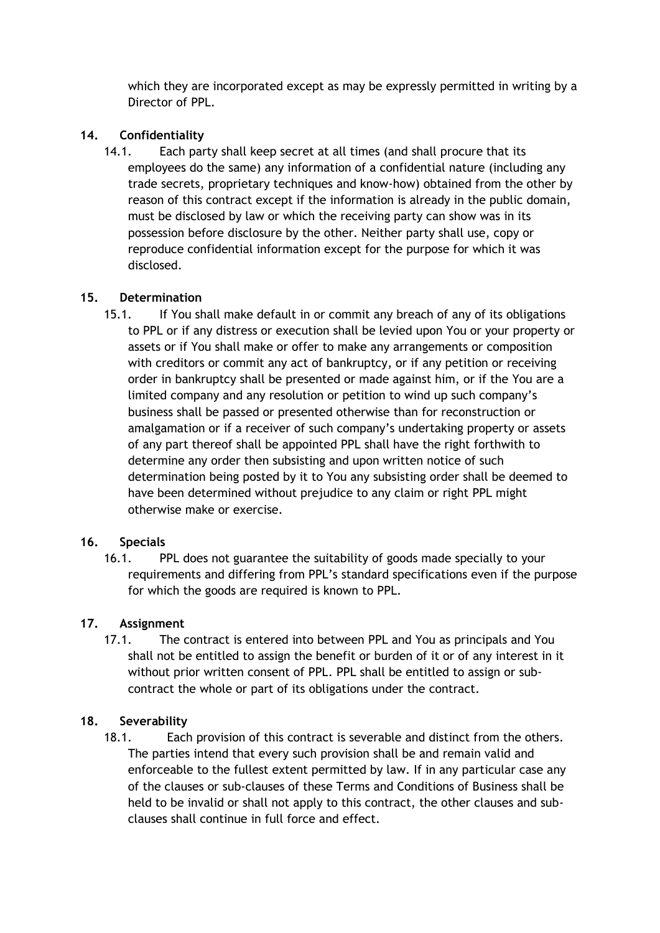which they are incorporated except as may be expressly permitted in writing by a Director of PPL.

## **14. Confidentiality**

14.1. Each party shall keep secret at all times (and shall procure that its employees do the same) any information of a confidential nature (including any trade secrets, proprietary techniques and know-how) obtained from the other by reason of this contract except if the information is already in the public domain, must be disclosed by law or which the receiving party can show was in its possession before disclosure by the other. Neither party shall use, copy or reproduce confidential information except for the purpose for which it was disclosed.

## **15. Determination**

15.1. If You shall make default in or commit any breach of any of its obligations to PPL or if any distress or execution shall be levied upon You or your property or assets or if You shall make or offer to make any arrangements or composition with creditors or commit any act of bankruptcy, or if any petition or receiving order in bankruptcy shall be presented or made against him, or if the You are a limited company and any resolution or petition to wind up such company's business shall be passed or presented otherwise than for reconstruction or amalgamation or if a receiver of such company's undertaking property or assets of any part thereof shall be appointed PPL shall have the right forthwith to determine any order then subsisting and upon written notice of such determination being posted by it to You any subsisting order shall be deemed to have been determined without prejudice to any claim or right PPL might otherwise make or exercise.

# **16. Specials**

16.1. PPL does not guarantee the suitability of goods made specially to your requirements and differing from PPL's standard specifications even if the purpose for which the goods are required is known to PPL.

# **17. Assignment**

17.1. The contract is entered into between PPL and You as principals and You shall not be entitled to assign the benefit or burden of it or of any interest in it without prior written consent of PPL. PPL shall be entitled to assign or subcontract the whole or part of its obligations under the contract.

# **18. Severability**

18.1.Each provision of this contract is severable and distinct from the others. The parties intend that every such provision shall be and remain valid and enforceable to the fullest extent permitted by law. If in any particular case any of the clauses or sub-clauses of these Terms and Conditions of Business shall be held to be invalid or shall not apply to this contract, the other clauses and subclauses shall continue in full force and effect.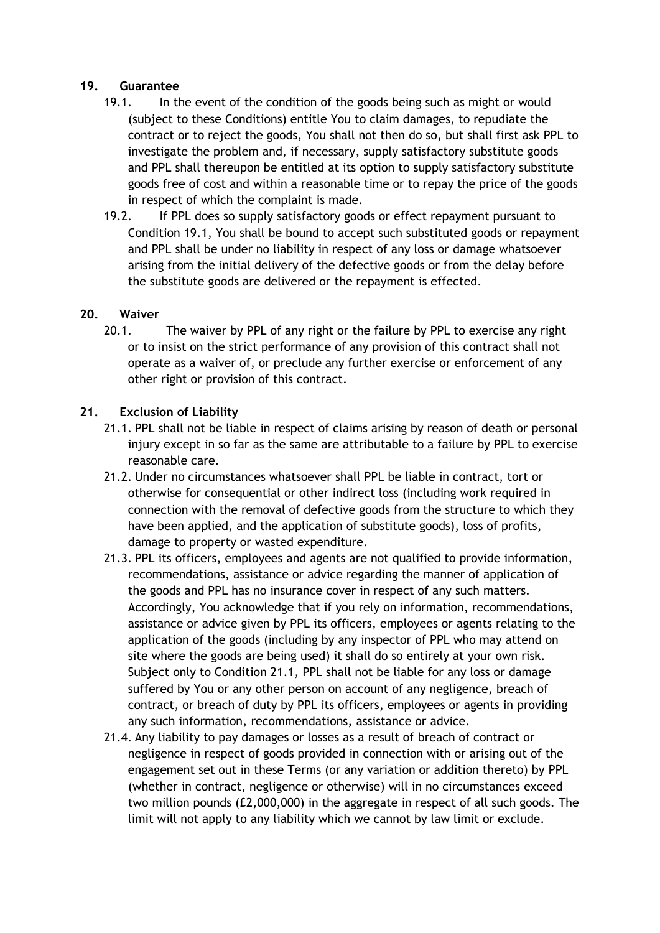#### **19. Guarantee**

- 19.1. In the event of the condition of the goods being such as might or would (subject to these Conditions) entitle You to claim damages, to repudiate the contract or to reject the goods, You shall not then do so, but shall first ask PPL to investigate the problem and, if necessary, supply satisfactory substitute goods and PPL shall thereupon be entitled at its option to supply satisfactory substitute goods free of cost and within a reasonable time or to repay the price of the goods in respect of which the complaint is made.
- 19.2. If PPL does so supply satisfactory goods or effect repayment pursuant to Condition 19.1, You shall be bound to accept such substituted goods or repayment and PPL shall be under no liability in respect of any loss or damage whatsoever arising from the initial delivery of the defective goods or from the delay before the substitute goods are delivered or the repayment is effected.

### **20. Waiver**

20.1. The waiver by PPL of any right or the failure by PPL to exercise any right or to insist on the strict performance of any provision of this contract shall not operate as a waiver of, or preclude any further exercise or enforcement of any other right or provision of this contract.

#### **21. Exclusion of Liability**

- 21.1. PPL shall not be liable in respect of claims arising by reason of death or personal injury except in so far as the same are attributable to a failure by PPL to exercise reasonable care.
- 21.2. Under no circumstances whatsoever shall PPL be liable in contract, tort or otherwise for consequential or other indirect loss (including work required in connection with the removal of defective goods from the structure to which they have been applied, and the application of substitute goods), loss of profits, damage to property or wasted expenditure.
- 21.3. PPL its officers, employees and agents are not qualified to provide information, recommendations, assistance or advice regarding the manner of application of the goods and PPL has no insurance cover in respect of any such matters. Accordingly, You acknowledge that if you rely on information, recommendations, assistance or advice given by PPL its officers, employees or agents relating to the application of the goods (including by any inspector of PPL who may attend on site where the goods are being used) it shall do so entirely at your own risk. Subject only to Condition 21.1, PPL shall not be liable for any loss or damage suffered by You or any other person on account of any negligence, breach of contract, or breach of duty by PPL its officers, employees or agents in providing any such information, recommendations, assistance or advice.
- 21.4. Any liability to pay damages or losses as a result of breach of contract or negligence in respect of goods provided in connection with or arising out of the engagement set out in these Terms (or any variation or addition thereto) by PPL (whether in contract, negligence or otherwise) will in no circumstances exceed two million pounds (£2,000,000) in the aggregate in respect of all such goods. The limit will not apply to any liability which we cannot by law limit or exclude.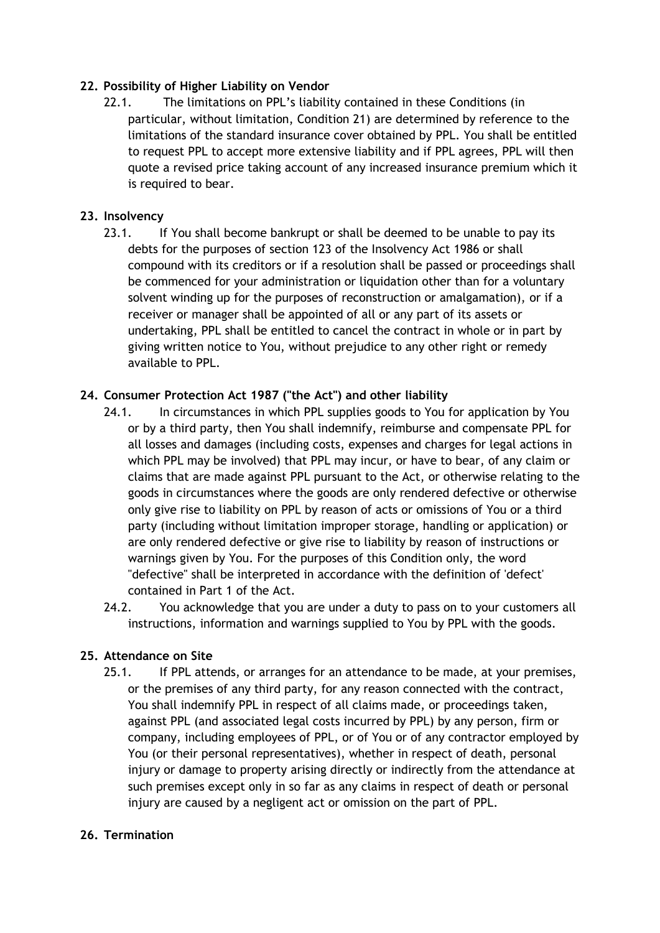## **22. Possibility of Higher Liability on Vendor**

22.1. The limitations on PPL's liability contained in these Conditions (in particular, without limitation, Condition 21) are determined by reference to the limitations of the standard insurance cover obtained by PPL. You shall be entitled to request PPL to accept more extensive liability and if PPL agrees, PPL will then quote a revised price taking account of any increased insurance premium which it is required to bear.

### **23. Insolvency**

23.1. If You shall become bankrupt or shall be deemed to be unable to pay its debts for the purposes of section 123 of the Insolvency Act 1986 or shall compound with its creditors or if a resolution shall be passed or proceedings shall be commenced for your administration or liquidation other than for a voluntary solvent winding up for the purposes of reconstruction or amalgamation), or if a receiver or manager shall be appointed of all or any part of its assets or undertaking, PPL shall be entitled to cancel the contract in whole or in part by giving written notice to You, without prejudice to any other right or remedy available to PPL.

### **24. Consumer Protection Act 1987 ("the Act") and other liability**

- 24.1. In circumstances in which PPL supplies goods to You for application by You or by a third party, then You shall indemnify, reimburse and compensate PPL for all losses and damages (including costs, expenses and charges for legal actions in which PPL may be involved) that PPL may incur, or have to bear, of any claim or claims that are made against PPL pursuant to the Act, or otherwise relating to the goods in circumstances where the goods are only rendered defective or otherwise only give rise to liability on PPL by reason of acts or omissions of You or a third party (including without limitation improper storage, handling or application) or are only rendered defective or give rise to liability by reason of instructions or warnings given by You. For the purposes of this Condition only, the word "defective" shall be interpreted in accordance with the definition of 'defect' contained in Part 1 of the Act.
- 24.2. You acknowledge that you are under a duty to pass on to your customers all instructions, information and warnings supplied to You by PPL with the goods.

# **25. Attendance on Site**

25.1. If PPL attends, or arranges for an attendance to be made, at your premises, or the premises of any third party, for any reason connected with the contract, You shall indemnify PPL in respect of all claims made, or proceedings taken, against PPL (and associated legal costs incurred by PPL) by any person, firm or company, including employees of PPL, or of You or of any contractor employed by You (or their personal representatives), whether in respect of death, personal injury or damage to property arising directly or indirectly from the attendance at such premises except only in so far as any claims in respect of death or personal injury are caused by a negligent act or omission on the part of PPL.

### **26. Termination**